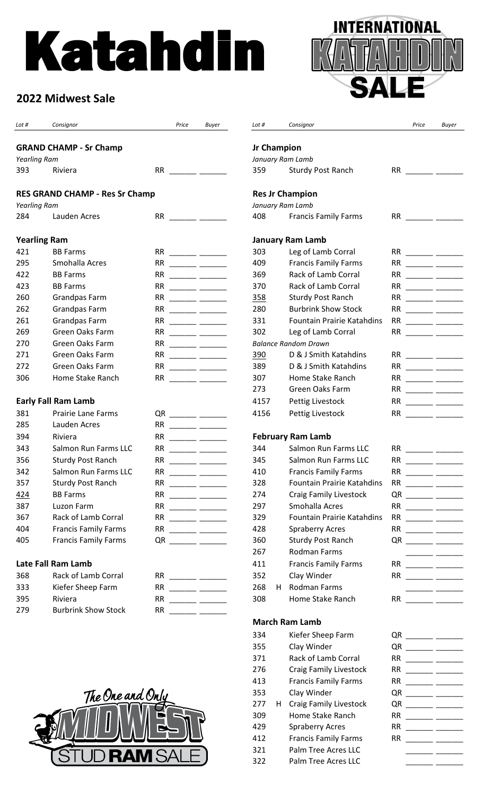# Katahdin



| <b>GRAND CHAMP - Sr Champ</b><br><b>Jr Champion</b><br>Yearling Ram<br>January Ram Lamb<br>393<br><b>RR</b><br>359<br>Sturdy Post Ranch<br>RR $\qquad \qquad \qquad$<br>Riviera<br><u> 1989 - Andrea State</u><br><b>RES GRAND CHAMP - Res Sr Champ</b><br><b>Res Jr Champion</b><br>January Ram Lamb<br>Yearling Ram<br>Lauden Acres<br>408<br><b>Francis Family Farms</b><br>284<br><b>Yearling Ram</b><br><b>January Ram Lamb</b><br>421<br><b>BB Farms</b><br>303<br>Leg of Lamb Corral<br>Smohalla Acres<br>409<br>295<br><b>RR</b><br><b>Francis Family Farms</b><br>RR $\qquad$<br>Rack of Lamb Corral<br>422<br><b>BB Farms</b><br>369<br><b>RR</b><br>RR $\qquad \qquad \qquad$<br><u> 1990 - Andrea Station Books and the Books and the Books and the Books and the Books and the Books and the Books and the Books and the Books and the Books and the Books and the Books and the Books and the Books and the Bo</u><br>Rack of Lamb Corral<br>423<br><b>BB Farms</b><br><b>RR</b><br>370<br>260<br>Grandpas Farm<br><b>RR</b><br>358<br>Sturdy Post Ranch<br><b>RR</b><br><u> 1980 - Andrea Station Books and the Books and the Books and the Books and the Books and the Books and the Books and the Books and the Books and the Books and the Books and the Books and the Books and the Books and the Bo</u><br>262<br>280<br><b>Burbrink Show Stock</b><br><b>Grandpas Farm</b><br><b>RR</b><br><b>RR</b><br><u> Albanyski politik († 18. února 1888)</u><br>261<br><b>Grandpas Farm</b><br>331<br><b>Fountain Prairie Katahdins</b><br><b>RR</b><br><b>RR</b><br>269<br>Green Oaks Farm<br>302<br>Leg of Lamb Corral<br>$RR \overline{\phantom{aa}}$<br><b>RR</b><br>Green Oaks Farm<br>270<br><b>RR</b><br><b>Balance Random Drawn</b><br>271<br>Green Oaks Farm<br>D & J Smith Katahdins<br><b>RR</b><br>390<br>Green Oaks Farm<br>389<br>272<br><b>RR</b><br>D & J Smith Katahdins<br>Home Stake Ranch<br>Home Stake Ranch<br>306<br><b>RR</b><br>307<br>RR $\qquad$<br>$\frac{1}{2}$ and $\frac{1}{2}$ and $\frac{1}{2}$ and $\frac{1}{2}$ and $\frac{1}{2}$ and $\frac{1}{2}$ and $\frac{1}{2}$ and $\frac{1}{2}$ and $\frac{1}{2}$ and $\frac{1}{2}$ and $\frac{1}{2}$ and $\frac{1}{2}$ and $\frac{1}{2}$ and $\frac{1}{2}$ and $\frac{1}{2}$ and $\frac{1}{2}$ a<br>273<br>Green Oaks Farm<br><b>Early Fall Ram Lamb</b><br>4157<br>Pettig Livestock<br>381<br><b>Prairie Lane Farms</b><br>Pettig Livestock<br>4156<br>$QR$ ________ ______<br>285<br>Lauden Acres<br>RR<br><b>February Ram Lamb</b><br>394<br>Riviera<br><b>RR</b><br>Salmon Run Farms LLC<br>Salmon Run Farms LLC<br>343<br><b>RR</b><br>344<br>$\frac{1}{1-\frac{1}{1-\frac{1}{1-\frac{1}{1-\frac{1}{1-\frac{1}{1-\frac{1}{1-\frac{1}{1-\frac{1}{1-\frac{1}{1-\frac{1}{1-\frac{1}{1-\frac{1}{1-\frac{1}{1-\frac{1}{1-\frac{1}{1-\frac{1}{1-\frac{1}{1-\frac{1}{1-\frac{1}{1-\frac{1}{1-\frac{1}{1-\frac{1}{1-\frac{1}{1-\frac{1}{1-\frac{1}{1-\frac{1}{1-\frac{1}{1-\frac{1}{1-\frac{1}{1-\frac{1}{1-\frac{1}{1-\frac{1}{1-\frac{1}{1-\frac{1}{1-\frac{1}{1-\frac{1$<br>356<br>345<br>Salmon Run Farms LLC<br><b>Sturdy Post Ranch</b><br><b>RR</b><br>$\frac{1}{1-\frac{1}{1-\frac{1}{1-\frac{1}{1-\frac{1}{1-\frac{1}{1-\frac{1}{1-\frac{1}{1-\frac{1}{1-\frac{1}{1-\frac{1}{1-\frac{1}{1-\frac{1}{1-\frac{1}{1-\frac{1}{1-\frac{1}{1-\frac{1}{1-\frac{1}{1-\frac{1}{1-\frac{1}{1-\frac{1}{1-\frac{1}{1-\frac{1}{1-\frac{1}{1-\frac{1}{1-\frac{1}{1-\frac{1}{1-\frac{1}{1-\frac{1}{1-\frac{1}{1-\frac{1}{1-\frac{1}{1-\frac{1}{1-\frac{1}{1-\frac{1}{1-\frac{1}{1-\frac{1$<br><b>Francis Family Farms</b><br>342<br>Salmon Run Farms LLC<br><b>RR</b><br>410<br>RR.<br>$\overline{\phantom{a}}$ . The contract of $\overline{\phantom{a}}$ and $\overline{\phantom{a}}$ and $\overline{\phantom{a}}$ and $\overline{\phantom{a}}$ and $\overline{\phantom{a}}$ and $\overline{\phantom{a}}$ and $\overline{\phantom{a}}$ and $\overline{\phantom{a}}$ and $\overline{\phantom{a}}$ and $\overline{\phantom{a}}$ and $\overline{\phantom{a}}$ and $\overline{\phantom{a}}$ and<br>328<br>357<br><b>RR</b><br><b>Fountain Prairie Katahdins</b><br>Sturdy Post Ranch<br><b>RR</b><br>424<br><b>BB Farms</b><br>274<br><b>Craig Family Livestock</b><br>387<br>Luzon Farm<br><b>RR</b><br>297<br>Smohalla Acres<br>367<br>Rack of Lamb Corral<br>329<br><b>Fountain Prairie Katahdins</b><br><b>RR</b><br>$\begin{tabular}{ll} \multicolumn{3}{c} {\textbf{1}} & \multicolumn{3}{c} {\textbf{2}} & \multicolumn{3}{c} {\textbf{3}} & \multicolumn{3}{c} {\textbf{4}} \\ \multicolumn{3}{c} {\textbf{1}} & \multicolumn{3}{c} {\textbf{2}} & \multicolumn{3}{c} {\textbf{3}} & \multicolumn{3}{c} {\textbf{4}} & \multicolumn{3}{c} {\textbf{5}} \\ \multicolumn{3}{c} {\textbf{1}} & \multicolumn{3}{c} {\textbf{1}} & \multicolumn{3}{c} {\textbf{1}} & \multicolumn{3}{c} {\textbf{1}} & \multicolumn$<br>404<br><b>Francis Family Farms</b><br><b>Spraberry Acres</b><br>$RR$ ________ _____<br>428<br>405<br><b>Francis Family Farms</b><br>360<br>Sturdy Post Ranch<br>$QR$ _______ _____<br><b>Rodman Farms</b><br>267<br><b>Late Fall Ram Lamb</b><br><b>Francis Family Farms</b><br>411<br>$RR$ ______ _____ | Lot # | Consignor           | Price | Buyer | Lot # | Consignor   | Price | Buyer |
|------------------------------------------------------------------------------------------------------------------------------------------------------------------------------------------------------------------------------------------------------------------------------------------------------------------------------------------------------------------------------------------------------------------------------------------------------------------------------------------------------------------------------------------------------------------------------------------------------------------------------------------------------------------------------------------------------------------------------------------------------------------------------------------------------------------------------------------------------------------------------------------------------------------------------------------------------------------------------------------------------------------------------------------------------------------------------------------------------------------------------------------------------------------------------------------------------------------------------------------------------------------------------------------------------------------------------------------------------------------------------------------------------------------------------------------------------------------------------------------------------------------------------------------------------------------------------------------------------------------------------------------------------------------------------------------------------------------------------------------------------------------------------------------------------------------------------------------------------------------------------------------------------------------------------------------------------------------------------------------------------------------------------------------------------------------------------------------------------------------------------------------------------------------------------------------------------------------------------------------------------------------------------------------------------------------------------------------------------------------------------------------------------------------------------------------------------------------------------------------------------------------------------------------------------------------------------------------------------------------------------------------------------------------------------------------------------------------------------------------------------------------------------------------------------------------------------------------------------------------------------------------------------------------------------------------------------------------------------------------------------------------------------------------------------------------------------------------------------------------------------------------------------------------------------------------------------------------------------------------------------------------------------------------------------------------------------------------------------------------------------------------------------------------------------------------------------------------------------------------------------------------------------------------------------------------------------------------------------------------------------------------------------------------------------------------------------------------------------------------------------------------------------------------------------------------------------------------------------------------------------------------------------------------------------------------------------------------------------------------------------------------------------------------------------------------------------------------------------------------------------------------------------------------------------------------------------------------------------------------------------------------------------------------------------------------------------------------------------------------------------------------------------------------------------------------------------------------------------------------------------------------------------------------------------------------------------------------------------------------------------------------------------------------------------------------------------------------------------------------------------------------------------------------------------------------------------------------------------------------------------------------------------------------------------------------------------------------------------------------------------------------------------------------------------------------------------------------------------------------------------------------------------------------------------------------------------------------|-------|---------------------|-------|-------|-------|-------------|-------|-------|
|                                                                                                                                                                                                                                                                                                                                                                                                                                                                                                                                                                                                                                                                                                                                                                                                                                                                                                                                                                                                                                                                                                                                                                                                                                                                                                                                                                                                                                                                                                                                                                                                                                                                                                                                                                                                                                                                                                                                                                                                                                                                                                                                                                                                                                                                                                                                                                                                                                                                                                                                                                                                                                                                                                                                                                                                                                                                                                                                                                                                                                                                                                                                                                                                                                                                                                                                                                                                                                                                                                                                                                                                                                                                                                                                                                                                                                                                                                                                                                                                                                                                                                                                                                                                                                                                                                                                                                                                                                                                                                                                                                                                                                                                                                                                                                                                                                                                                                                                                                                                                                                                                                                                                                                                                  |       |                     |       |       |       |             |       |       |
|                                                                                                                                                                                                                                                                                                                                                                                                                                                                                                                                                                                                                                                                                                                                                                                                                                                                                                                                                                                                                                                                                                                                                                                                                                                                                                                                                                                                                                                                                                                                                                                                                                                                                                                                                                                                                                                                                                                                                                                                                                                                                                                                                                                                                                                                                                                                                                                                                                                                                                                                                                                                                                                                                                                                                                                                                                                                                                                                                                                                                                                                                                                                                                                                                                                                                                                                                                                                                                                                                                                                                                                                                                                                                                                                                                                                                                                                                                                                                                                                                                                                                                                                                                                                                                                                                                                                                                                                                                                                                                                                                                                                                                                                                                                                                                                                                                                                                                                                                                                                                                                                                                                                                                                                                  |       |                     |       |       |       |             |       |       |
|                                                                                                                                                                                                                                                                                                                                                                                                                                                                                                                                                                                                                                                                                                                                                                                                                                                                                                                                                                                                                                                                                                                                                                                                                                                                                                                                                                                                                                                                                                                                                                                                                                                                                                                                                                                                                                                                                                                                                                                                                                                                                                                                                                                                                                                                                                                                                                                                                                                                                                                                                                                                                                                                                                                                                                                                                                                                                                                                                                                                                                                                                                                                                                                                                                                                                                                                                                                                                                                                                                                                                                                                                                                                                                                                                                                                                                                                                                                                                                                                                                                                                                                                                                                                                                                                                                                                                                                                                                                                                                                                                                                                                                                                                                                                                                                                                                                                                                                                                                                                                                                                                                                                                                                                                  |       |                     |       |       |       |             |       |       |
|                                                                                                                                                                                                                                                                                                                                                                                                                                                                                                                                                                                                                                                                                                                                                                                                                                                                                                                                                                                                                                                                                                                                                                                                                                                                                                                                                                                                                                                                                                                                                                                                                                                                                                                                                                                                                                                                                                                                                                                                                                                                                                                                                                                                                                                                                                                                                                                                                                                                                                                                                                                                                                                                                                                                                                                                                                                                                                                                                                                                                                                                                                                                                                                                                                                                                                                                                                                                                                                                                                                                                                                                                                                                                                                                                                                                                                                                                                                                                                                                                                                                                                                                                                                                                                                                                                                                                                                                                                                                                                                                                                                                                                                                                                                                                                                                                                                                                                                                                                                                                                                                                                                                                                                                                  |       |                     |       |       |       |             |       |       |
|                                                                                                                                                                                                                                                                                                                                                                                                                                                                                                                                                                                                                                                                                                                                                                                                                                                                                                                                                                                                                                                                                                                                                                                                                                                                                                                                                                                                                                                                                                                                                                                                                                                                                                                                                                                                                                                                                                                                                                                                                                                                                                                                                                                                                                                                                                                                                                                                                                                                                                                                                                                                                                                                                                                                                                                                                                                                                                                                                                                                                                                                                                                                                                                                                                                                                                                                                                                                                                                                                                                                                                                                                                                                                                                                                                                                                                                                                                                                                                                                                                                                                                                                                                                                                                                                                                                                                                                                                                                                                                                                                                                                                                                                                                                                                                                                                                                                                                                                                                                                                                                                                                                                                                                                                  |       |                     |       |       |       |             |       |       |
|                                                                                                                                                                                                                                                                                                                                                                                                                                                                                                                                                                                                                                                                                                                                                                                                                                                                                                                                                                                                                                                                                                                                                                                                                                                                                                                                                                                                                                                                                                                                                                                                                                                                                                                                                                                                                                                                                                                                                                                                                                                                                                                                                                                                                                                                                                                                                                                                                                                                                                                                                                                                                                                                                                                                                                                                                                                                                                                                                                                                                                                                                                                                                                                                                                                                                                                                                                                                                                                                                                                                                                                                                                                                                                                                                                                                                                                                                                                                                                                                                                                                                                                                                                                                                                                                                                                                                                                                                                                                                                                                                                                                                                                                                                                                                                                                                                                                                                                                                                                                                                                                                                                                                                                                                  |       |                     |       |       |       |             |       |       |
|                                                                                                                                                                                                                                                                                                                                                                                                                                                                                                                                                                                                                                                                                                                                                                                                                                                                                                                                                                                                                                                                                                                                                                                                                                                                                                                                                                                                                                                                                                                                                                                                                                                                                                                                                                                                                                                                                                                                                                                                                                                                                                                                                                                                                                                                                                                                                                                                                                                                                                                                                                                                                                                                                                                                                                                                                                                                                                                                                                                                                                                                                                                                                                                                                                                                                                                                                                                                                                                                                                                                                                                                                                                                                                                                                                                                                                                                                                                                                                                                                                                                                                                                                                                                                                                                                                                                                                                                                                                                                                                                                                                                                                                                                                                                                                                                                                                                                                                                                                                                                                                                                                                                                                                                                  |       |                     |       |       |       |             |       |       |
|                                                                                                                                                                                                                                                                                                                                                                                                                                                                                                                                                                                                                                                                                                                                                                                                                                                                                                                                                                                                                                                                                                                                                                                                                                                                                                                                                                                                                                                                                                                                                                                                                                                                                                                                                                                                                                                                                                                                                                                                                                                                                                                                                                                                                                                                                                                                                                                                                                                                                                                                                                                                                                                                                                                                                                                                                                                                                                                                                                                                                                                                                                                                                                                                                                                                                                                                                                                                                                                                                                                                                                                                                                                                                                                                                                                                                                                                                                                                                                                                                                                                                                                                                                                                                                                                                                                                                                                                                                                                                                                                                                                                                                                                                                                                                                                                                                                                                                                                                                                                                                                                                                                                                                                                                  |       |                     |       |       |       |             |       |       |
|                                                                                                                                                                                                                                                                                                                                                                                                                                                                                                                                                                                                                                                                                                                                                                                                                                                                                                                                                                                                                                                                                                                                                                                                                                                                                                                                                                                                                                                                                                                                                                                                                                                                                                                                                                                                                                                                                                                                                                                                                                                                                                                                                                                                                                                                                                                                                                                                                                                                                                                                                                                                                                                                                                                                                                                                                                                                                                                                                                                                                                                                                                                                                                                                                                                                                                                                                                                                                                                                                                                                                                                                                                                                                                                                                                                                                                                                                                                                                                                                                                                                                                                                                                                                                                                                                                                                                                                                                                                                                                                                                                                                                                                                                                                                                                                                                                                                                                                                                                                                                                                                                                                                                                                                                  |       |                     |       |       |       |             |       |       |
|                                                                                                                                                                                                                                                                                                                                                                                                                                                                                                                                                                                                                                                                                                                                                                                                                                                                                                                                                                                                                                                                                                                                                                                                                                                                                                                                                                                                                                                                                                                                                                                                                                                                                                                                                                                                                                                                                                                                                                                                                                                                                                                                                                                                                                                                                                                                                                                                                                                                                                                                                                                                                                                                                                                                                                                                                                                                                                                                                                                                                                                                                                                                                                                                                                                                                                                                                                                                                                                                                                                                                                                                                                                                                                                                                                                                                                                                                                                                                                                                                                                                                                                                                                                                                                                                                                                                                                                                                                                                                                                                                                                                                                                                                                                                                                                                                                                                                                                                                                                                                                                                                                                                                                                                                  |       |                     |       |       |       |             |       |       |
|                                                                                                                                                                                                                                                                                                                                                                                                                                                                                                                                                                                                                                                                                                                                                                                                                                                                                                                                                                                                                                                                                                                                                                                                                                                                                                                                                                                                                                                                                                                                                                                                                                                                                                                                                                                                                                                                                                                                                                                                                                                                                                                                                                                                                                                                                                                                                                                                                                                                                                                                                                                                                                                                                                                                                                                                                                                                                                                                                                                                                                                                                                                                                                                                                                                                                                                                                                                                                                                                                                                                                                                                                                                                                                                                                                                                                                                                                                                                                                                                                                                                                                                                                                                                                                                                                                                                                                                                                                                                                                                                                                                                                                                                                                                                                                                                                                                                                                                                                                                                                                                                                                                                                                                                                  |       |                     |       |       |       |             |       |       |
|                                                                                                                                                                                                                                                                                                                                                                                                                                                                                                                                                                                                                                                                                                                                                                                                                                                                                                                                                                                                                                                                                                                                                                                                                                                                                                                                                                                                                                                                                                                                                                                                                                                                                                                                                                                                                                                                                                                                                                                                                                                                                                                                                                                                                                                                                                                                                                                                                                                                                                                                                                                                                                                                                                                                                                                                                                                                                                                                                                                                                                                                                                                                                                                                                                                                                                                                                                                                                                                                                                                                                                                                                                                                                                                                                                                                                                                                                                                                                                                                                                                                                                                                                                                                                                                                                                                                                                                                                                                                                                                                                                                                                                                                                                                                                                                                                                                                                                                                                                                                                                                                                                                                                                                                                  |       |                     |       |       |       |             |       |       |
|                                                                                                                                                                                                                                                                                                                                                                                                                                                                                                                                                                                                                                                                                                                                                                                                                                                                                                                                                                                                                                                                                                                                                                                                                                                                                                                                                                                                                                                                                                                                                                                                                                                                                                                                                                                                                                                                                                                                                                                                                                                                                                                                                                                                                                                                                                                                                                                                                                                                                                                                                                                                                                                                                                                                                                                                                                                                                                                                                                                                                                                                                                                                                                                                                                                                                                                                                                                                                                                                                                                                                                                                                                                                                                                                                                                                                                                                                                                                                                                                                                                                                                                                                                                                                                                                                                                                                                                                                                                                                                                                                                                                                                                                                                                                                                                                                                                                                                                                                                                                                                                                                                                                                                                                                  |       |                     |       |       |       |             |       |       |
|                                                                                                                                                                                                                                                                                                                                                                                                                                                                                                                                                                                                                                                                                                                                                                                                                                                                                                                                                                                                                                                                                                                                                                                                                                                                                                                                                                                                                                                                                                                                                                                                                                                                                                                                                                                                                                                                                                                                                                                                                                                                                                                                                                                                                                                                                                                                                                                                                                                                                                                                                                                                                                                                                                                                                                                                                                                                                                                                                                                                                                                                                                                                                                                                                                                                                                                                                                                                                                                                                                                                                                                                                                                                                                                                                                                                                                                                                                                                                                                                                                                                                                                                                                                                                                                                                                                                                                                                                                                                                                                                                                                                                                                                                                                                                                                                                                                                                                                                                                                                                                                                                                                                                                                                                  |       |                     |       |       |       |             |       |       |
|                                                                                                                                                                                                                                                                                                                                                                                                                                                                                                                                                                                                                                                                                                                                                                                                                                                                                                                                                                                                                                                                                                                                                                                                                                                                                                                                                                                                                                                                                                                                                                                                                                                                                                                                                                                                                                                                                                                                                                                                                                                                                                                                                                                                                                                                                                                                                                                                                                                                                                                                                                                                                                                                                                                                                                                                                                                                                                                                                                                                                                                                                                                                                                                                                                                                                                                                                                                                                                                                                                                                                                                                                                                                                                                                                                                                                                                                                                                                                                                                                                                                                                                                                                                                                                                                                                                                                                                                                                                                                                                                                                                                                                                                                                                                                                                                                                                                                                                                                                                                                                                                                                                                                                                                                  |       |                     |       |       |       |             |       |       |
|                                                                                                                                                                                                                                                                                                                                                                                                                                                                                                                                                                                                                                                                                                                                                                                                                                                                                                                                                                                                                                                                                                                                                                                                                                                                                                                                                                                                                                                                                                                                                                                                                                                                                                                                                                                                                                                                                                                                                                                                                                                                                                                                                                                                                                                                                                                                                                                                                                                                                                                                                                                                                                                                                                                                                                                                                                                                                                                                                                                                                                                                                                                                                                                                                                                                                                                                                                                                                                                                                                                                                                                                                                                                                                                                                                                                                                                                                                                                                                                                                                                                                                                                                                                                                                                                                                                                                                                                                                                                                                                                                                                                                                                                                                                                                                                                                                                                                                                                                                                                                                                                                                                                                                                                                  |       |                     |       |       |       |             |       |       |
|                                                                                                                                                                                                                                                                                                                                                                                                                                                                                                                                                                                                                                                                                                                                                                                                                                                                                                                                                                                                                                                                                                                                                                                                                                                                                                                                                                                                                                                                                                                                                                                                                                                                                                                                                                                                                                                                                                                                                                                                                                                                                                                                                                                                                                                                                                                                                                                                                                                                                                                                                                                                                                                                                                                                                                                                                                                                                                                                                                                                                                                                                                                                                                                                                                                                                                                                                                                                                                                                                                                                                                                                                                                                                                                                                                                                                                                                                                                                                                                                                                                                                                                                                                                                                                                                                                                                                                                                                                                                                                                                                                                                                                                                                                                                                                                                                                                                                                                                                                                                                                                                                                                                                                                                                  |       |                     |       |       |       |             |       |       |
|                                                                                                                                                                                                                                                                                                                                                                                                                                                                                                                                                                                                                                                                                                                                                                                                                                                                                                                                                                                                                                                                                                                                                                                                                                                                                                                                                                                                                                                                                                                                                                                                                                                                                                                                                                                                                                                                                                                                                                                                                                                                                                                                                                                                                                                                                                                                                                                                                                                                                                                                                                                                                                                                                                                                                                                                                                                                                                                                                                                                                                                                                                                                                                                                                                                                                                                                                                                                                                                                                                                                                                                                                                                                                                                                                                                                                                                                                                                                                                                                                                                                                                                                                                                                                                                                                                                                                                                                                                                                                                                                                                                                                                                                                                                                                                                                                                                                                                                                                                                                                                                                                                                                                                                                                  |       |                     |       |       |       |             |       |       |
|                                                                                                                                                                                                                                                                                                                                                                                                                                                                                                                                                                                                                                                                                                                                                                                                                                                                                                                                                                                                                                                                                                                                                                                                                                                                                                                                                                                                                                                                                                                                                                                                                                                                                                                                                                                                                                                                                                                                                                                                                                                                                                                                                                                                                                                                                                                                                                                                                                                                                                                                                                                                                                                                                                                                                                                                                                                                                                                                                                                                                                                                                                                                                                                                                                                                                                                                                                                                                                                                                                                                                                                                                                                                                                                                                                                                                                                                                                                                                                                                                                                                                                                                                                                                                                                                                                                                                                                                                                                                                                                                                                                                                                                                                                                                                                                                                                                                                                                                                                                                                                                                                                                                                                                                                  |       |                     |       |       |       |             |       |       |
|                                                                                                                                                                                                                                                                                                                                                                                                                                                                                                                                                                                                                                                                                                                                                                                                                                                                                                                                                                                                                                                                                                                                                                                                                                                                                                                                                                                                                                                                                                                                                                                                                                                                                                                                                                                                                                                                                                                                                                                                                                                                                                                                                                                                                                                                                                                                                                                                                                                                                                                                                                                                                                                                                                                                                                                                                                                                                                                                                                                                                                                                                                                                                                                                                                                                                                                                                                                                                                                                                                                                                                                                                                                                                                                                                                                                                                                                                                                                                                                                                                                                                                                                                                                                                                                                                                                                                                                                                                                                                                                                                                                                                                                                                                                                                                                                                                                                                                                                                                                                                                                                                                                                                                                                                  |       |                     |       |       |       |             |       |       |
|                                                                                                                                                                                                                                                                                                                                                                                                                                                                                                                                                                                                                                                                                                                                                                                                                                                                                                                                                                                                                                                                                                                                                                                                                                                                                                                                                                                                                                                                                                                                                                                                                                                                                                                                                                                                                                                                                                                                                                                                                                                                                                                                                                                                                                                                                                                                                                                                                                                                                                                                                                                                                                                                                                                                                                                                                                                                                                                                                                                                                                                                                                                                                                                                                                                                                                                                                                                                                                                                                                                                                                                                                                                                                                                                                                                                                                                                                                                                                                                                                                                                                                                                                                                                                                                                                                                                                                                                                                                                                                                                                                                                                                                                                                                                                                                                                                                                                                                                                                                                                                                                                                                                                                                                                  |       |                     |       |       |       |             |       |       |
|                                                                                                                                                                                                                                                                                                                                                                                                                                                                                                                                                                                                                                                                                                                                                                                                                                                                                                                                                                                                                                                                                                                                                                                                                                                                                                                                                                                                                                                                                                                                                                                                                                                                                                                                                                                                                                                                                                                                                                                                                                                                                                                                                                                                                                                                                                                                                                                                                                                                                                                                                                                                                                                                                                                                                                                                                                                                                                                                                                                                                                                                                                                                                                                                                                                                                                                                                                                                                                                                                                                                                                                                                                                                                                                                                                                                                                                                                                                                                                                                                                                                                                                                                                                                                                                                                                                                                                                                                                                                                                                                                                                                                                                                                                                                                                                                                                                                                                                                                                                                                                                                                                                                                                                                                  |       |                     |       |       |       |             |       |       |
|                                                                                                                                                                                                                                                                                                                                                                                                                                                                                                                                                                                                                                                                                                                                                                                                                                                                                                                                                                                                                                                                                                                                                                                                                                                                                                                                                                                                                                                                                                                                                                                                                                                                                                                                                                                                                                                                                                                                                                                                                                                                                                                                                                                                                                                                                                                                                                                                                                                                                                                                                                                                                                                                                                                                                                                                                                                                                                                                                                                                                                                                                                                                                                                                                                                                                                                                                                                                                                                                                                                                                                                                                                                                                                                                                                                                                                                                                                                                                                                                                                                                                                                                                                                                                                                                                                                                                                                                                                                                                                                                                                                                                                                                                                                                                                                                                                                                                                                                                                                                                                                                                                                                                                                                                  |       |                     |       |       |       |             |       |       |
|                                                                                                                                                                                                                                                                                                                                                                                                                                                                                                                                                                                                                                                                                                                                                                                                                                                                                                                                                                                                                                                                                                                                                                                                                                                                                                                                                                                                                                                                                                                                                                                                                                                                                                                                                                                                                                                                                                                                                                                                                                                                                                                                                                                                                                                                                                                                                                                                                                                                                                                                                                                                                                                                                                                                                                                                                                                                                                                                                                                                                                                                                                                                                                                                                                                                                                                                                                                                                                                                                                                                                                                                                                                                                                                                                                                                                                                                                                                                                                                                                                                                                                                                                                                                                                                                                                                                                                                                                                                                                                                                                                                                                                                                                                                                                                                                                                                                                                                                                                                                                                                                                                                                                                                                                  |       |                     |       |       |       |             |       |       |
|                                                                                                                                                                                                                                                                                                                                                                                                                                                                                                                                                                                                                                                                                                                                                                                                                                                                                                                                                                                                                                                                                                                                                                                                                                                                                                                                                                                                                                                                                                                                                                                                                                                                                                                                                                                                                                                                                                                                                                                                                                                                                                                                                                                                                                                                                                                                                                                                                                                                                                                                                                                                                                                                                                                                                                                                                                                                                                                                                                                                                                                                                                                                                                                                                                                                                                                                                                                                                                                                                                                                                                                                                                                                                                                                                                                                                                                                                                                                                                                                                                                                                                                                                                                                                                                                                                                                                                                                                                                                                                                                                                                                                                                                                                                                                                                                                                                                                                                                                                                                                                                                                                                                                                                                                  |       |                     |       |       |       |             |       |       |
|                                                                                                                                                                                                                                                                                                                                                                                                                                                                                                                                                                                                                                                                                                                                                                                                                                                                                                                                                                                                                                                                                                                                                                                                                                                                                                                                                                                                                                                                                                                                                                                                                                                                                                                                                                                                                                                                                                                                                                                                                                                                                                                                                                                                                                                                                                                                                                                                                                                                                                                                                                                                                                                                                                                                                                                                                                                                                                                                                                                                                                                                                                                                                                                                                                                                                                                                                                                                                                                                                                                                                                                                                                                                                                                                                                                                                                                                                                                                                                                                                                                                                                                                                                                                                                                                                                                                                                                                                                                                                                                                                                                                                                                                                                                                                                                                                                                                                                                                                                                                                                                                                                                                                                                                                  |       |                     |       |       |       |             |       |       |
|                                                                                                                                                                                                                                                                                                                                                                                                                                                                                                                                                                                                                                                                                                                                                                                                                                                                                                                                                                                                                                                                                                                                                                                                                                                                                                                                                                                                                                                                                                                                                                                                                                                                                                                                                                                                                                                                                                                                                                                                                                                                                                                                                                                                                                                                                                                                                                                                                                                                                                                                                                                                                                                                                                                                                                                                                                                                                                                                                                                                                                                                                                                                                                                                                                                                                                                                                                                                                                                                                                                                                                                                                                                                                                                                                                                                                                                                                                                                                                                                                                                                                                                                                                                                                                                                                                                                                                                                                                                                                                                                                                                                                                                                                                                                                                                                                                                                                                                                                                                                                                                                                                                                                                                                                  |       |                     |       |       |       |             |       |       |
|                                                                                                                                                                                                                                                                                                                                                                                                                                                                                                                                                                                                                                                                                                                                                                                                                                                                                                                                                                                                                                                                                                                                                                                                                                                                                                                                                                                                                                                                                                                                                                                                                                                                                                                                                                                                                                                                                                                                                                                                                                                                                                                                                                                                                                                                                                                                                                                                                                                                                                                                                                                                                                                                                                                                                                                                                                                                                                                                                                                                                                                                                                                                                                                                                                                                                                                                                                                                                                                                                                                                                                                                                                                                                                                                                                                                                                                                                                                                                                                                                                                                                                                                                                                                                                                                                                                                                                                                                                                                                                                                                                                                                                                                                                                                                                                                                                                                                                                                                                                                                                                                                                                                                                                                                  |       |                     |       |       |       |             |       |       |
|                                                                                                                                                                                                                                                                                                                                                                                                                                                                                                                                                                                                                                                                                                                                                                                                                                                                                                                                                                                                                                                                                                                                                                                                                                                                                                                                                                                                                                                                                                                                                                                                                                                                                                                                                                                                                                                                                                                                                                                                                                                                                                                                                                                                                                                                                                                                                                                                                                                                                                                                                                                                                                                                                                                                                                                                                                                                                                                                                                                                                                                                                                                                                                                                                                                                                                                                                                                                                                                                                                                                                                                                                                                                                                                                                                                                                                                                                                                                                                                                                                                                                                                                                                                                                                                                                                                                                                                                                                                                                                                                                                                                                                                                                                                                                                                                                                                                                                                                                                                                                                                                                                                                                                                                                  |       |                     |       |       |       |             |       |       |
|                                                                                                                                                                                                                                                                                                                                                                                                                                                                                                                                                                                                                                                                                                                                                                                                                                                                                                                                                                                                                                                                                                                                                                                                                                                                                                                                                                                                                                                                                                                                                                                                                                                                                                                                                                                                                                                                                                                                                                                                                                                                                                                                                                                                                                                                                                                                                                                                                                                                                                                                                                                                                                                                                                                                                                                                                                                                                                                                                                                                                                                                                                                                                                                                                                                                                                                                                                                                                                                                                                                                                                                                                                                                                                                                                                                                                                                                                                                                                                                                                                                                                                                                                                                                                                                                                                                                                                                                                                                                                                                                                                                                                                                                                                                                                                                                                                                                                                                                                                                                                                                                                                                                                                                                                  |       |                     |       |       |       |             |       |       |
|                                                                                                                                                                                                                                                                                                                                                                                                                                                                                                                                                                                                                                                                                                                                                                                                                                                                                                                                                                                                                                                                                                                                                                                                                                                                                                                                                                                                                                                                                                                                                                                                                                                                                                                                                                                                                                                                                                                                                                                                                                                                                                                                                                                                                                                                                                                                                                                                                                                                                                                                                                                                                                                                                                                                                                                                                                                                                                                                                                                                                                                                                                                                                                                                                                                                                                                                                                                                                                                                                                                                                                                                                                                                                                                                                                                                                                                                                                                                                                                                                                                                                                                                                                                                                                                                                                                                                                                                                                                                                                                                                                                                                                                                                                                                                                                                                                                                                                                                                                                                                                                                                                                                                                                                                  |       |                     |       |       |       |             |       |       |
|                                                                                                                                                                                                                                                                                                                                                                                                                                                                                                                                                                                                                                                                                                                                                                                                                                                                                                                                                                                                                                                                                                                                                                                                                                                                                                                                                                                                                                                                                                                                                                                                                                                                                                                                                                                                                                                                                                                                                                                                                                                                                                                                                                                                                                                                                                                                                                                                                                                                                                                                                                                                                                                                                                                                                                                                                                                                                                                                                                                                                                                                                                                                                                                                                                                                                                                                                                                                                                                                                                                                                                                                                                                                                                                                                                                                                                                                                                                                                                                                                                                                                                                                                                                                                                                                                                                                                                                                                                                                                                                                                                                                                                                                                                                                                                                                                                                                                                                                                                                                                                                                                                                                                                                                                  |       |                     |       |       |       |             |       |       |
|                                                                                                                                                                                                                                                                                                                                                                                                                                                                                                                                                                                                                                                                                                                                                                                                                                                                                                                                                                                                                                                                                                                                                                                                                                                                                                                                                                                                                                                                                                                                                                                                                                                                                                                                                                                                                                                                                                                                                                                                                                                                                                                                                                                                                                                                                                                                                                                                                                                                                                                                                                                                                                                                                                                                                                                                                                                                                                                                                                                                                                                                                                                                                                                                                                                                                                                                                                                                                                                                                                                                                                                                                                                                                                                                                                                                                                                                                                                                                                                                                                                                                                                                                                                                                                                                                                                                                                                                                                                                                                                                                                                                                                                                                                                                                                                                                                                                                                                                                                                                                                                                                                                                                                                                                  |       |                     |       |       |       |             |       |       |
|                                                                                                                                                                                                                                                                                                                                                                                                                                                                                                                                                                                                                                                                                                                                                                                                                                                                                                                                                                                                                                                                                                                                                                                                                                                                                                                                                                                                                                                                                                                                                                                                                                                                                                                                                                                                                                                                                                                                                                                                                                                                                                                                                                                                                                                                                                                                                                                                                                                                                                                                                                                                                                                                                                                                                                                                                                                                                                                                                                                                                                                                                                                                                                                                                                                                                                                                                                                                                                                                                                                                                                                                                                                                                                                                                                                                                                                                                                                                                                                                                                                                                                                                                                                                                                                                                                                                                                                                                                                                                                                                                                                                                                                                                                                                                                                                                                                                                                                                                                                                                                                                                                                                                                                                                  |       |                     |       |       |       |             |       |       |
|                                                                                                                                                                                                                                                                                                                                                                                                                                                                                                                                                                                                                                                                                                                                                                                                                                                                                                                                                                                                                                                                                                                                                                                                                                                                                                                                                                                                                                                                                                                                                                                                                                                                                                                                                                                                                                                                                                                                                                                                                                                                                                                                                                                                                                                                                                                                                                                                                                                                                                                                                                                                                                                                                                                                                                                                                                                                                                                                                                                                                                                                                                                                                                                                                                                                                                                                                                                                                                                                                                                                                                                                                                                                                                                                                                                                                                                                                                                                                                                                                                                                                                                                                                                                                                                                                                                                                                                                                                                                                                                                                                                                                                                                                                                                                                                                                                                                                                                                                                                                                                                                                                                                                                                                                  |       |                     |       |       |       |             |       |       |
|                                                                                                                                                                                                                                                                                                                                                                                                                                                                                                                                                                                                                                                                                                                                                                                                                                                                                                                                                                                                                                                                                                                                                                                                                                                                                                                                                                                                                                                                                                                                                                                                                                                                                                                                                                                                                                                                                                                                                                                                                                                                                                                                                                                                                                                                                                                                                                                                                                                                                                                                                                                                                                                                                                                                                                                                                                                                                                                                                                                                                                                                                                                                                                                                                                                                                                                                                                                                                                                                                                                                                                                                                                                                                                                                                                                                                                                                                                                                                                                                                                                                                                                                                                                                                                                                                                                                                                                                                                                                                                                                                                                                                                                                                                                                                                                                                                                                                                                                                                                                                                                                                                                                                                                                                  | 368   | Rack of Lamb Corral |       |       | 352   | Clay Winder |       |       |
| Rodman Farms<br>333<br>Kiefer Sheep Farm<br>268<br><b>RR</b><br>$\begin{tabular}{ll} \multicolumn{1}{l}{} & \multicolumn{1}{l}{} & \multicolumn{1}{l}{} \\ \multicolumn{1}{l}{} & \multicolumn{1}{l}{} & \multicolumn{1}{l}{} \\ \multicolumn{1}{l}{} & \multicolumn{1}{l}{} & \multicolumn{1}{l}{} \\ \multicolumn{1}{l}{} & \multicolumn{1}{l}{} & \multicolumn{1}{l}{} \\ \multicolumn{1}{l}{} & \multicolumn{1}{l}{} & \multicolumn{1}{l}{} \\ \multicolumn{1}{l}{} & \multicolumn{1}{l}{} & \multicolumn{1}{l}{} \\ \multicolumn{1}{l}{} & \multic$<br>H                                                                                                                                                                                                                                                                                                                                                                                                                                                                                                                                                                                                                                                                                                                                                                                                                                                                                                                                                                                                                                                                                                                                                                                                                                                                                                                                                                                                                                                                                                                                                                                                                                                                                                                                                                                                                                                                                                                                                                                                                                                                                                                                                                                                                                                                                                                                                                                                                                                                                                                                                                                                                                                                                                                                                                                                                                                                                                                                                                                                                                                                                                                                                                                                                                                                                                                                                                                                                                                                                                                                                                                                                                                                                                                                                                                                                                                                                                                                                                                                                                                                                                                                                                                                                                                                                                                                                                                                                                                                                                                                                                                                                                                    |       |                     |       |       |       |             |       |       |
| Riviera<br><b>RR</b><br>308<br>Home Stake Ranch<br>395                                                                                                                                                                                                                                                                                                                                                                                                                                                                                                                                                                                                                                                                                                                                                                                                                                                                                                                                                                                                                                                                                                                                                                                                                                                                                                                                                                                                                                                                                                                                                                                                                                                                                                                                                                                                                                                                                                                                                                                                                                                                                                                                                                                                                                                                                                                                                                                                                                                                                                                                                                                                                                                                                                                                                                                                                                                                                                                                                                                                                                                                                                                                                                                                                                                                                                                                                                                                                                                                                                                                                                                                                                                                                                                                                                                                                                                                                                                                                                                                                                                                                                                                                                                                                                                                                                                                                                                                                                                                                                                                                                                                                                                                                                                                                                                                                                                                                                                                                                                                                                                                                                                                                           |       |                     |       |       |       |             |       |       |
| <b>Burbrink Show Stock</b><br>RR<br>279<br>$\frac{1}{2}$ and $\frac{1}{2}$ and $\frac{1}{2}$ and $\frac{1}{2}$ and $\frac{1}{2}$ and $\frac{1}{2}$ and $\frac{1}{2}$ and $\frac{1}{2}$ and $\frac{1}{2}$ and $\frac{1}{2}$ and $\frac{1}{2}$ and $\frac{1}{2}$ and $\frac{1}{2}$ and $\frac{1}{2}$ and $\frac{1}{2}$ and $\frac{1}{2}$ a                                                                                                                                                                                                                                                                                                                                                                                                                                                                                                                                                                                                                                                                                                                                                                                                                                                                                                                                                                                                                                                                                                                                                                                                                                                                                                                                                                                                                                                                                                                                                                                                                                                                                                                                                                                                                                                                                                                                                                                                                                                                                                                                                                                                                                                                                                                                                                                                                                                                                                                                                                                                                                                                                                                                                                                                                                                                                                                                                                                                                                                                                                                                                                                                                                                                                                                                                                                                                                                                                                                                                                                                                                                                                                                                                                                                                                                                                                                                                                                                                                                                                                                                                                                                                                                                                                                                                                                                                                                                                                                                                                                                                                                                                                                                                                                                                                                                         |       |                     |       |       |       |             |       |       |





|            | <b>Res Jr Champion</b>            |                                                                                                                                                                                                                                                   |  |
|------------|-----------------------------------|---------------------------------------------------------------------------------------------------------------------------------------------------------------------------------------------------------------------------------------------------|--|
|            | January Ram Lamb                  |                                                                                                                                                                                                                                                   |  |
| 408        | <b>Francis Family Farms</b>       |                                                                                                                                                                                                                                                   |  |
|            |                                   |                                                                                                                                                                                                                                                   |  |
|            | January Ram Lamb                  |                                                                                                                                                                                                                                                   |  |
| 303        | Leg of Lamb Corral                | <b>RR</b><br>$\overline{\phantom{a}}$ and $\overline{\phantom{a}}$ and $\overline{\phantom{a}}$                                                                                                                                                   |  |
| 409        | <b>Francis Family Farms</b>       | <b>RR</b>                                                                                                                                                                                                                                         |  |
| 369        | <b>Rack of Lamb Corral</b>        | <b>RR</b>                                                                                                                                                                                                                                         |  |
| 370        | Rack of Lamb Corral               | RR.                                                                                                                                                                                                                                               |  |
| <u>358</u> | <b>Sturdy Post Ranch</b>          | <b>RR</b>                                                                                                                                                                                                                                         |  |
| 280        | <b>Burbrink Show Stock</b>        | <b>RR</b>                                                                                                                                                                                                                                         |  |
| 331        | <b>Fountain Prairie Katahdins</b> | <b>RR</b>                                                                                                                                                                                                                                         |  |
| 302        | Leg of Lamb Corral                | <b>RR</b>                                                                                                                                                                                                                                         |  |
|            | Balance Random Drawn              |                                                                                                                                                                                                                                                   |  |
| <u>390</u> | D & J Smith Katahdins             | <b>RR</b>                                                                                                                                                                                                                                         |  |
| 389        | D & J Smith Katahdins             | <b>RR</b>                                                                                                                                                                                                                                         |  |
| 307        | Home Stake Ranch                  | <b>RR</b>                                                                                                                                                                                                                                         |  |
| 273        | Green Oaks Farm                   | <b>RR</b>                                                                                                                                                                                                                                         |  |
| 4157       | Pettig Livestock                  | <b>RR</b>                                                                                                                                                                                                                                         |  |
| 4156       | Pettig Livestock                  | <b>RR</b><br><u> 1980 - Andrea Stormann and Stormann and Stormann and Stormann and Stormann and Stormann and Stormann and Stormann and Stormann and Stormann and Stormann and Stormann and Stormann and Stormann and Stormann and Stormann an</u> |  |
|            |                                   |                                                                                                                                                                                                                                                   |  |
|            | <b>February Ram Lamb</b>          |                                                                                                                                                                                                                                                   |  |
| 344        | Salmon Run Farms LLC              | <b>RR</b>                                                                                                                                                                                                                                         |  |
| 345        | Salmon Run Farms LLC              | <b>RR</b>                                                                                                                                                                                                                                         |  |
|            |                                   |                                                                                                                                                                                                                                                   |  |

| 344 |   | Salmon Run Farms LLC        | RR |
|-----|---|-----------------------------|----|
| 345 |   | Salmon Run Farms LLC        | RR |
| 410 |   | <b>Francis Family Farms</b> | RR |
| 328 |   | Fountain Prairie Katahdins  | RR |
| 274 |   | Craig Family Livestock      | QR |
| 297 |   | Smohalla Acres              | RR |
| 329 |   | Fountain Prairie Katahdins  | RR |
| 428 |   | <b>Spraberry Acres</b>      | RR |
| 360 |   | <b>Sturdy Post Ranch</b>    | QR |
| 267 |   | Rodman Farms                |    |
| 411 |   | <b>Francis Family Farms</b> | RR |
| 352 |   | Clay Winder                 | RR |
| 268 | н | Rodman Farms                |    |
| 308 |   | Home Stake Ranch            | RR |
|     |   |                             |    |

# **March Ram Lamb**

| 334 |    | Kiefer Sheep Farm             |
|-----|----|-------------------------------|
| 355 |    | Clay Winder                   |
| 371 |    | <b>Rack of Lamb Corral</b>    |
| 276 |    | <b>Craig Family Livestock</b> |
| 413 |    | <b>Francis Family Farms</b>   |
| 353 |    | Clay Winder                   |
| 277 | H. | <b>Craig Family Livestock</b> |
| 309 |    | Home Stake Ranch              |
| 429 |    | <b>Spraberry Acres</b>        |
| 412 |    | <b>Francis Family Farms</b>   |
| 321 |    | Palm Tree Acres LLC           |
| 322 |    | Palm Tree Acres LLC           |